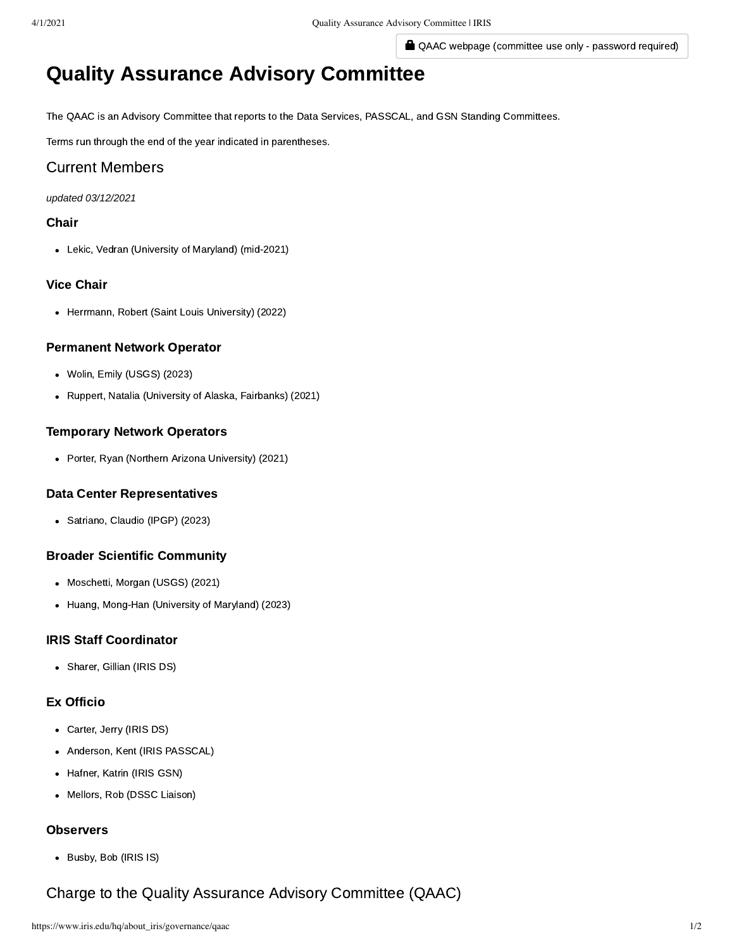QAAC webpage (committee use only - password required)

# Quality Assurance Advisory Committee

The QAAC is an Advisory Committee that reports to the Data Services, PASSCAL, and GSN Standing Committees.

Terms run through the end of the year indicated in parentheses.

# Current Members

#### *updated 03/12/2021*

#### Chair

Lekic, Vedran (University of Maryland) (mid-2021)

#### Vice Chair

• Herrmann, Robert (Saint Louis University) (2022)

#### Permanent Network Operator

- Wolin, Emily (USGS) (2023)
- Ruppert, Natalia (University of Alaska, Fairbanks) (2021)

#### Temporary Network Operators

• Porter, Ryan (Northern Arizona University) (2021)

#### Data Center Representatives

Satriano, Claudio (IPGP) (2023)

#### Broader Scientific Community

- Moschetti, Morgan (USGS) (2021)
- Huang, Mong-Han (University of Maryland) (2023)

### IRIS Staff Coordinator

• Sharer, Gillian (IRIS DS)

#### Ex Officio

- Carter, Jerry (IRIS DS)
- Anderson, Kent (IRIS PASSCAL)  $\bullet$
- Hafner, Katrin (IRIS GSN)  $\bullet$
- Mellors, Rob (DSSC Liaison)

# **Observers**

Busby, Bob (IRIS IS)

# Charge to the Quality Assurance Advisory Committee (QAAC)